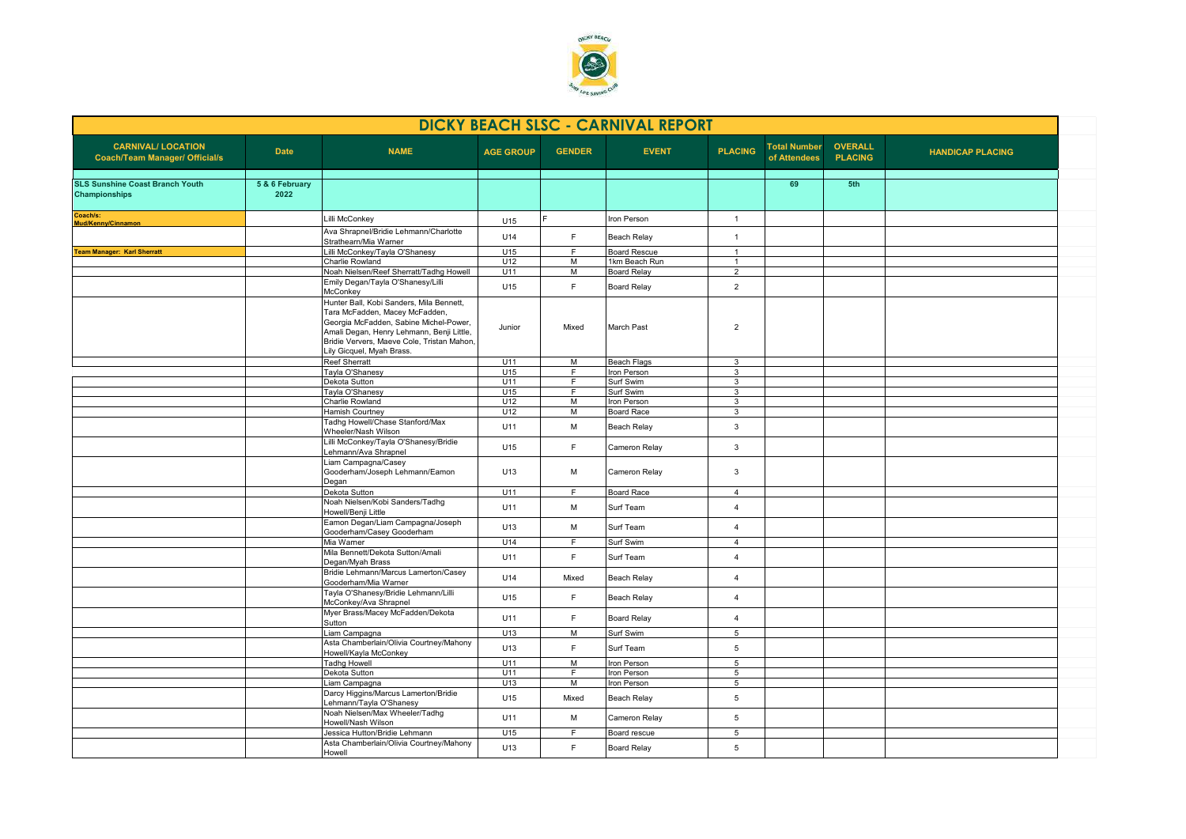

| <b>CARNIVAL/ LOCATION</b><br><b>OVERALL</b><br><b>Total Number</b><br><b>NAME</b><br><b>PLACING</b><br><b>Date</b><br><b>AGE GROUP</b><br><b>GENDER</b><br><b>EVENT</b><br><b>HANDICAP PLACING</b><br><b>PLACING</b><br><b>Coach/Team Manager/ Official/s</b><br>of Attendees<br>5 & 6 February<br>69<br>5th<br>2022<br>Lilli McConkey<br>Iron Person<br>$\overline{1}$<br>U15<br>Ava Shrapnel/Bridie Lehmann/Charlotte<br>U14<br>F<br><b>Beach Relay</b><br>$\mathbf{1}$<br>Strathearn/Mia Warner<br>Lilli McConkey/Tayla O'Shanesy<br>U15<br><b>Board Rescue</b><br>F.<br><b>Team Manager: Karl Sherratt</b><br>$\overline{1}$<br>Charlie Rowland<br>U12<br>M<br>1km Beach Run<br>$\mathbf{1}$<br>Noah Nielsen/Reef Sherratt/Tadhg Howell<br>U11<br>M<br><b>Board Relay</b><br>$\overline{2}$<br>Emily Degan/Tayla O'Shanesy/Lilli<br>F<br>$\overline{2}$<br>U15<br><b>Board Relay</b><br>McConkey<br>Hunter Ball, Kobi Sanders, Mila Bennett,<br>Tara McFadden, Macey McFadden,<br>Georgia McFadden, Sabine Michel-Power,<br>March Past<br>Junior<br>Mixed<br>$\overline{2}$<br>Amali Degan, Henry Lehmann, Benji Little,<br>Bridie Ververs, Maeve Cole, Tristan Mahon,<br>Lily Gicquel, Myah Brass.<br><b>Reef Sherratt</b><br>U11<br>M<br><b>Beach Flags</b><br>$\overline{3}$<br>Tayla O'Shanesy<br>Iron Person<br>U15<br>F<br>$\mathbf{3}$<br>Dekota Sutton<br>U11<br>F<br>Surf Swim<br>3<br>F<br>Tayla O'Shanesy<br>U15<br>Surf Swim<br>3<br>M<br>Charlie Rowland<br>U12<br>Iron Person<br>$\mathbf{3}$<br><b>Hamish Courtney</b><br>U12<br>M<br><b>Board Race</b><br>3<br>Tadhg Howell/Chase Stanford/Max<br>U11<br>M<br>$\mathbf{3}$<br><b>Beach Relay</b><br>Wheeler/Nash Wilson<br>Lilli McConkey/Tayla O'Shanesy/Bridie<br>F<br>3<br>U15<br>Cameron Relay<br>Lehmann/Ava Shrapnel<br>Liam Campagna/Casey<br>Gooderham/Joseph Lehmann/Eamon<br>U13<br>М<br>Cameron Relay<br>3<br>Degan<br>U11<br>F<br><b>Board Race</b><br>Dekota Sutton<br>$\overline{4}$<br>Noah Nielsen/Kobi Sanders/Tadhg<br>M<br>Surf Team<br>U11<br>$\overline{4}$<br>Howell/Benji Little<br>Eamon Degan/Liam Campagna/Joseph<br>M<br>Surf Team<br>U13<br>$\overline{4}$<br>Gooderham/Casey Gooderham<br>Mia Warner<br>Surf Swim<br>U14<br>F.<br>$\overline{4}$<br>Mila Bennett/Dekota Sutton/Amali<br>F<br>Surf Team<br>U11<br>$\overline{4}$<br>Degan/Myah Brass<br>Bridie Lehmann/Marcus Lamerton/Casey<br>U14<br>Mixed<br><b>Beach Relay</b><br>$\overline{4}$<br>Gooderham/Mia Warner<br>Tayla O'Shanesy/Bridie Lehmann/Lilli<br>F<br>U15<br><b>Beach Relay</b><br>$\overline{4}$<br>McConkey/Ava Shrapnel<br>Myer Brass/Macey McFadden/Dekota<br>F<br>U11<br>$\overline{4}$<br><b>Board Relay</b><br>Sutton<br>Liam Campagna<br>U13<br>M<br>Surf Swim<br>5<br>Asta Chamberlain/Olivia Courtney/Mahony<br>U13<br>F<br>Surf Team<br>5<br>Howell/Kayla McConkey<br><b>Tadhg Howell</b><br>Iron Person<br>U11<br>M<br>5<br>Dekota Sutton<br>U11<br>F<br>Iron Person<br>$5\phantom{.0}$<br>U13<br>M<br>5<br>Liam Campagna<br>Iron Person<br>Darcy Higgins/Marcus Lamerton/Bridie<br>U15<br><b>Beach Relay</b><br>5<br>Mixed<br>Lehmann/Tayla O'Shanesy<br>Noah Nielsen/Max Wheeler/Tadhg<br>5<br>U11<br>M<br>Cameron Relay<br>Howell/Nash Wilson<br>Jessica Hutton/Bridie Lehmann<br>U15<br>F.<br>Board rescue<br>$5^{\circ}$ | <b>DICKY BEACH SLSC - CARNIVAL REPORT</b>                      |  |                                         |     |   |                    |   |  |  |  |
|------------------------------------------------------------------------------------------------------------------------------------------------------------------------------------------------------------------------------------------------------------------------------------------------------------------------------------------------------------------------------------------------------------------------------------------------------------------------------------------------------------------------------------------------------------------------------------------------------------------------------------------------------------------------------------------------------------------------------------------------------------------------------------------------------------------------------------------------------------------------------------------------------------------------------------------------------------------------------------------------------------------------------------------------------------------------------------------------------------------------------------------------------------------------------------------------------------------------------------------------------------------------------------------------------------------------------------------------------------------------------------------------------------------------------------------------------------------------------------------------------------------------------------------------------------------------------------------------------------------------------------------------------------------------------------------------------------------------------------------------------------------------------------------------------------------------------------------------------------------------------------------------------------------------------------------------------------------------------------------------------------------------------------------------------------------------------------------------------------------------------------------------------------------------------------------------------------------------------------------------------------------------------------------------------------------------------------------------------------------------------------------------------------------------------------------------------------------------------------------------------------------------------------------------------------------------------------------------------------------------------------------------------------------------------------------------------------------------------------------------------------------------------------------------------------------------------------------------------------------------------------------------------------------------------------------------------------------------------------------------------------------------------------------------------------------------------------------------------------------------------------------------------------------------------------------------------------------------------------------------------------------------------------------------------------------|----------------------------------------------------------------|--|-----------------------------------------|-----|---|--------------------|---|--|--|--|
|                                                                                                                                                                                                                                                                                                                                                                                                                                                                                                                                                                                                                                                                                                                                                                                                                                                                                                                                                                                                                                                                                                                                                                                                                                                                                                                                                                                                                                                                                                                                                                                                                                                                                                                                                                                                                                                                                                                                                                                                                                                                                                                                                                                                                                                                                                                                                                                                                                                                                                                                                                                                                                                                                                                                                                                                                                                                                                                                                                                                                                                                                                                                                                                                                                                                                                                  |                                                                |  |                                         |     |   |                    |   |  |  |  |
|                                                                                                                                                                                                                                                                                                                                                                                                                                                                                                                                                                                                                                                                                                                                                                                                                                                                                                                                                                                                                                                                                                                                                                                                                                                                                                                                                                                                                                                                                                                                                                                                                                                                                                                                                                                                                                                                                                                                                                                                                                                                                                                                                                                                                                                                                                                                                                                                                                                                                                                                                                                                                                                                                                                                                                                                                                                                                                                                                                                                                                                                                                                                                                                                                                                                                                                  | <b>SLS Sunshine Coast Branch Youth</b><br><b>Championships</b> |  |                                         |     |   |                    |   |  |  |  |
|                                                                                                                                                                                                                                                                                                                                                                                                                                                                                                                                                                                                                                                                                                                                                                                                                                                                                                                                                                                                                                                                                                                                                                                                                                                                                                                                                                                                                                                                                                                                                                                                                                                                                                                                                                                                                                                                                                                                                                                                                                                                                                                                                                                                                                                                                                                                                                                                                                                                                                                                                                                                                                                                                                                                                                                                                                                                                                                                                                                                                                                                                                                                                                                                                                                                                                                  | Coach/s:<br>Mud/Kenny/Cinnamon                                 |  |                                         |     |   |                    |   |  |  |  |
|                                                                                                                                                                                                                                                                                                                                                                                                                                                                                                                                                                                                                                                                                                                                                                                                                                                                                                                                                                                                                                                                                                                                                                                                                                                                                                                                                                                                                                                                                                                                                                                                                                                                                                                                                                                                                                                                                                                                                                                                                                                                                                                                                                                                                                                                                                                                                                                                                                                                                                                                                                                                                                                                                                                                                                                                                                                                                                                                                                                                                                                                                                                                                                                                                                                                                                                  |                                                                |  |                                         |     |   |                    |   |  |  |  |
|                                                                                                                                                                                                                                                                                                                                                                                                                                                                                                                                                                                                                                                                                                                                                                                                                                                                                                                                                                                                                                                                                                                                                                                                                                                                                                                                                                                                                                                                                                                                                                                                                                                                                                                                                                                                                                                                                                                                                                                                                                                                                                                                                                                                                                                                                                                                                                                                                                                                                                                                                                                                                                                                                                                                                                                                                                                                                                                                                                                                                                                                                                                                                                                                                                                                                                                  |                                                                |  |                                         |     |   |                    |   |  |  |  |
|                                                                                                                                                                                                                                                                                                                                                                                                                                                                                                                                                                                                                                                                                                                                                                                                                                                                                                                                                                                                                                                                                                                                                                                                                                                                                                                                                                                                                                                                                                                                                                                                                                                                                                                                                                                                                                                                                                                                                                                                                                                                                                                                                                                                                                                                                                                                                                                                                                                                                                                                                                                                                                                                                                                                                                                                                                                                                                                                                                                                                                                                                                                                                                                                                                                                                                                  |                                                                |  |                                         |     |   |                    |   |  |  |  |
|                                                                                                                                                                                                                                                                                                                                                                                                                                                                                                                                                                                                                                                                                                                                                                                                                                                                                                                                                                                                                                                                                                                                                                                                                                                                                                                                                                                                                                                                                                                                                                                                                                                                                                                                                                                                                                                                                                                                                                                                                                                                                                                                                                                                                                                                                                                                                                                                                                                                                                                                                                                                                                                                                                                                                                                                                                                                                                                                                                                                                                                                                                                                                                                                                                                                                                                  |                                                                |  |                                         |     |   |                    |   |  |  |  |
|                                                                                                                                                                                                                                                                                                                                                                                                                                                                                                                                                                                                                                                                                                                                                                                                                                                                                                                                                                                                                                                                                                                                                                                                                                                                                                                                                                                                                                                                                                                                                                                                                                                                                                                                                                                                                                                                                                                                                                                                                                                                                                                                                                                                                                                                                                                                                                                                                                                                                                                                                                                                                                                                                                                                                                                                                                                                                                                                                                                                                                                                                                                                                                                                                                                                                                                  |                                                                |  |                                         |     |   |                    |   |  |  |  |
|                                                                                                                                                                                                                                                                                                                                                                                                                                                                                                                                                                                                                                                                                                                                                                                                                                                                                                                                                                                                                                                                                                                                                                                                                                                                                                                                                                                                                                                                                                                                                                                                                                                                                                                                                                                                                                                                                                                                                                                                                                                                                                                                                                                                                                                                                                                                                                                                                                                                                                                                                                                                                                                                                                                                                                                                                                                                                                                                                                                                                                                                                                                                                                                                                                                                                                                  |                                                                |  |                                         |     |   |                    |   |  |  |  |
|                                                                                                                                                                                                                                                                                                                                                                                                                                                                                                                                                                                                                                                                                                                                                                                                                                                                                                                                                                                                                                                                                                                                                                                                                                                                                                                                                                                                                                                                                                                                                                                                                                                                                                                                                                                                                                                                                                                                                                                                                                                                                                                                                                                                                                                                                                                                                                                                                                                                                                                                                                                                                                                                                                                                                                                                                                                                                                                                                                                                                                                                                                                                                                                                                                                                                                                  |                                                                |  |                                         |     |   |                    |   |  |  |  |
|                                                                                                                                                                                                                                                                                                                                                                                                                                                                                                                                                                                                                                                                                                                                                                                                                                                                                                                                                                                                                                                                                                                                                                                                                                                                                                                                                                                                                                                                                                                                                                                                                                                                                                                                                                                                                                                                                                                                                                                                                                                                                                                                                                                                                                                                                                                                                                                                                                                                                                                                                                                                                                                                                                                                                                                                                                                                                                                                                                                                                                                                                                                                                                                                                                                                                                                  |                                                                |  |                                         |     |   |                    |   |  |  |  |
|                                                                                                                                                                                                                                                                                                                                                                                                                                                                                                                                                                                                                                                                                                                                                                                                                                                                                                                                                                                                                                                                                                                                                                                                                                                                                                                                                                                                                                                                                                                                                                                                                                                                                                                                                                                                                                                                                                                                                                                                                                                                                                                                                                                                                                                                                                                                                                                                                                                                                                                                                                                                                                                                                                                                                                                                                                                                                                                                                                                                                                                                                                                                                                                                                                                                                                                  |                                                                |  |                                         |     |   |                    |   |  |  |  |
|                                                                                                                                                                                                                                                                                                                                                                                                                                                                                                                                                                                                                                                                                                                                                                                                                                                                                                                                                                                                                                                                                                                                                                                                                                                                                                                                                                                                                                                                                                                                                                                                                                                                                                                                                                                                                                                                                                                                                                                                                                                                                                                                                                                                                                                                                                                                                                                                                                                                                                                                                                                                                                                                                                                                                                                                                                                                                                                                                                                                                                                                                                                                                                                                                                                                                                                  |                                                                |  |                                         |     |   |                    |   |  |  |  |
|                                                                                                                                                                                                                                                                                                                                                                                                                                                                                                                                                                                                                                                                                                                                                                                                                                                                                                                                                                                                                                                                                                                                                                                                                                                                                                                                                                                                                                                                                                                                                                                                                                                                                                                                                                                                                                                                                                                                                                                                                                                                                                                                                                                                                                                                                                                                                                                                                                                                                                                                                                                                                                                                                                                                                                                                                                                                                                                                                                                                                                                                                                                                                                                                                                                                                                                  |                                                                |  |                                         |     |   |                    |   |  |  |  |
|                                                                                                                                                                                                                                                                                                                                                                                                                                                                                                                                                                                                                                                                                                                                                                                                                                                                                                                                                                                                                                                                                                                                                                                                                                                                                                                                                                                                                                                                                                                                                                                                                                                                                                                                                                                                                                                                                                                                                                                                                                                                                                                                                                                                                                                                                                                                                                                                                                                                                                                                                                                                                                                                                                                                                                                                                                                                                                                                                                                                                                                                                                                                                                                                                                                                                                                  |                                                                |  |                                         |     |   |                    |   |  |  |  |
|                                                                                                                                                                                                                                                                                                                                                                                                                                                                                                                                                                                                                                                                                                                                                                                                                                                                                                                                                                                                                                                                                                                                                                                                                                                                                                                                                                                                                                                                                                                                                                                                                                                                                                                                                                                                                                                                                                                                                                                                                                                                                                                                                                                                                                                                                                                                                                                                                                                                                                                                                                                                                                                                                                                                                                                                                                                                                                                                                                                                                                                                                                                                                                                                                                                                                                                  |                                                                |  |                                         |     |   |                    |   |  |  |  |
|                                                                                                                                                                                                                                                                                                                                                                                                                                                                                                                                                                                                                                                                                                                                                                                                                                                                                                                                                                                                                                                                                                                                                                                                                                                                                                                                                                                                                                                                                                                                                                                                                                                                                                                                                                                                                                                                                                                                                                                                                                                                                                                                                                                                                                                                                                                                                                                                                                                                                                                                                                                                                                                                                                                                                                                                                                                                                                                                                                                                                                                                                                                                                                                                                                                                                                                  |                                                                |  |                                         |     |   |                    |   |  |  |  |
|                                                                                                                                                                                                                                                                                                                                                                                                                                                                                                                                                                                                                                                                                                                                                                                                                                                                                                                                                                                                                                                                                                                                                                                                                                                                                                                                                                                                                                                                                                                                                                                                                                                                                                                                                                                                                                                                                                                                                                                                                                                                                                                                                                                                                                                                                                                                                                                                                                                                                                                                                                                                                                                                                                                                                                                                                                                                                                                                                                                                                                                                                                                                                                                                                                                                                                                  |                                                                |  |                                         |     |   |                    |   |  |  |  |
|                                                                                                                                                                                                                                                                                                                                                                                                                                                                                                                                                                                                                                                                                                                                                                                                                                                                                                                                                                                                                                                                                                                                                                                                                                                                                                                                                                                                                                                                                                                                                                                                                                                                                                                                                                                                                                                                                                                                                                                                                                                                                                                                                                                                                                                                                                                                                                                                                                                                                                                                                                                                                                                                                                                                                                                                                                                                                                                                                                                                                                                                                                                                                                                                                                                                                                                  |                                                                |  |                                         |     |   |                    |   |  |  |  |
|                                                                                                                                                                                                                                                                                                                                                                                                                                                                                                                                                                                                                                                                                                                                                                                                                                                                                                                                                                                                                                                                                                                                                                                                                                                                                                                                                                                                                                                                                                                                                                                                                                                                                                                                                                                                                                                                                                                                                                                                                                                                                                                                                                                                                                                                                                                                                                                                                                                                                                                                                                                                                                                                                                                                                                                                                                                                                                                                                                                                                                                                                                                                                                                                                                                                                                                  |                                                                |  |                                         |     |   |                    |   |  |  |  |
|                                                                                                                                                                                                                                                                                                                                                                                                                                                                                                                                                                                                                                                                                                                                                                                                                                                                                                                                                                                                                                                                                                                                                                                                                                                                                                                                                                                                                                                                                                                                                                                                                                                                                                                                                                                                                                                                                                                                                                                                                                                                                                                                                                                                                                                                                                                                                                                                                                                                                                                                                                                                                                                                                                                                                                                                                                                                                                                                                                                                                                                                                                                                                                                                                                                                                                                  |                                                                |  |                                         |     |   |                    |   |  |  |  |
|                                                                                                                                                                                                                                                                                                                                                                                                                                                                                                                                                                                                                                                                                                                                                                                                                                                                                                                                                                                                                                                                                                                                                                                                                                                                                                                                                                                                                                                                                                                                                                                                                                                                                                                                                                                                                                                                                                                                                                                                                                                                                                                                                                                                                                                                                                                                                                                                                                                                                                                                                                                                                                                                                                                                                                                                                                                                                                                                                                                                                                                                                                                                                                                                                                                                                                                  |                                                                |  |                                         |     |   |                    |   |  |  |  |
|                                                                                                                                                                                                                                                                                                                                                                                                                                                                                                                                                                                                                                                                                                                                                                                                                                                                                                                                                                                                                                                                                                                                                                                                                                                                                                                                                                                                                                                                                                                                                                                                                                                                                                                                                                                                                                                                                                                                                                                                                                                                                                                                                                                                                                                                                                                                                                                                                                                                                                                                                                                                                                                                                                                                                                                                                                                                                                                                                                                                                                                                                                                                                                                                                                                                                                                  |                                                                |  |                                         |     |   |                    |   |  |  |  |
|                                                                                                                                                                                                                                                                                                                                                                                                                                                                                                                                                                                                                                                                                                                                                                                                                                                                                                                                                                                                                                                                                                                                                                                                                                                                                                                                                                                                                                                                                                                                                                                                                                                                                                                                                                                                                                                                                                                                                                                                                                                                                                                                                                                                                                                                                                                                                                                                                                                                                                                                                                                                                                                                                                                                                                                                                                                                                                                                                                                                                                                                                                                                                                                                                                                                                                                  |                                                                |  |                                         |     |   |                    |   |  |  |  |
|                                                                                                                                                                                                                                                                                                                                                                                                                                                                                                                                                                                                                                                                                                                                                                                                                                                                                                                                                                                                                                                                                                                                                                                                                                                                                                                                                                                                                                                                                                                                                                                                                                                                                                                                                                                                                                                                                                                                                                                                                                                                                                                                                                                                                                                                                                                                                                                                                                                                                                                                                                                                                                                                                                                                                                                                                                                                                                                                                                                                                                                                                                                                                                                                                                                                                                                  |                                                                |  |                                         |     |   |                    |   |  |  |  |
|                                                                                                                                                                                                                                                                                                                                                                                                                                                                                                                                                                                                                                                                                                                                                                                                                                                                                                                                                                                                                                                                                                                                                                                                                                                                                                                                                                                                                                                                                                                                                                                                                                                                                                                                                                                                                                                                                                                                                                                                                                                                                                                                                                                                                                                                                                                                                                                                                                                                                                                                                                                                                                                                                                                                                                                                                                                                                                                                                                                                                                                                                                                                                                                                                                                                                                                  |                                                                |  |                                         |     |   |                    |   |  |  |  |
|                                                                                                                                                                                                                                                                                                                                                                                                                                                                                                                                                                                                                                                                                                                                                                                                                                                                                                                                                                                                                                                                                                                                                                                                                                                                                                                                                                                                                                                                                                                                                                                                                                                                                                                                                                                                                                                                                                                                                                                                                                                                                                                                                                                                                                                                                                                                                                                                                                                                                                                                                                                                                                                                                                                                                                                                                                                                                                                                                                                                                                                                                                                                                                                                                                                                                                                  |                                                                |  |                                         |     |   |                    |   |  |  |  |
|                                                                                                                                                                                                                                                                                                                                                                                                                                                                                                                                                                                                                                                                                                                                                                                                                                                                                                                                                                                                                                                                                                                                                                                                                                                                                                                                                                                                                                                                                                                                                                                                                                                                                                                                                                                                                                                                                                                                                                                                                                                                                                                                                                                                                                                                                                                                                                                                                                                                                                                                                                                                                                                                                                                                                                                                                                                                                                                                                                                                                                                                                                                                                                                                                                                                                                                  |                                                                |  |                                         |     |   |                    |   |  |  |  |
|                                                                                                                                                                                                                                                                                                                                                                                                                                                                                                                                                                                                                                                                                                                                                                                                                                                                                                                                                                                                                                                                                                                                                                                                                                                                                                                                                                                                                                                                                                                                                                                                                                                                                                                                                                                                                                                                                                                                                                                                                                                                                                                                                                                                                                                                                                                                                                                                                                                                                                                                                                                                                                                                                                                                                                                                                                                                                                                                                                                                                                                                                                                                                                                                                                                                                                                  |                                                                |  |                                         |     |   |                    |   |  |  |  |
|                                                                                                                                                                                                                                                                                                                                                                                                                                                                                                                                                                                                                                                                                                                                                                                                                                                                                                                                                                                                                                                                                                                                                                                                                                                                                                                                                                                                                                                                                                                                                                                                                                                                                                                                                                                                                                                                                                                                                                                                                                                                                                                                                                                                                                                                                                                                                                                                                                                                                                                                                                                                                                                                                                                                                                                                                                                                                                                                                                                                                                                                                                                                                                                                                                                                                                                  |                                                                |  |                                         |     |   |                    |   |  |  |  |
|                                                                                                                                                                                                                                                                                                                                                                                                                                                                                                                                                                                                                                                                                                                                                                                                                                                                                                                                                                                                                                                                                                                                                                                                                                                                                                                                                                                                                                                                                                                                                                                                                                                                                                                                                                                                                                                                                                                                                                                                                                                                                                                                                                                                                                                                                                                                                                                                                                                                                                                                                                                                                                                                                                                                                                                                                                                                                                                                                                                                                                                                                                                                                                                                                                                                                                                  |                                                                |  |                                         |     |   |                    |   |  |  |  |
|                                                                                                                                                                                                                                                                                                                                                                                                                                                                                                                                                                                                                                                                                                                                                                                                                                                                                                                                                                                                                                                                                                                                                                                                                                                                                                                                                                                                                                                                                                                                                                                                                                                                                                                                                                                                                                                                                                                                                                                                                                                                                                                                                                                                                                                                                                                                                                                                                                                                                                                                                                                                                                                                                                                                                                                                                                                                                                                                                                                                                                                                                                                                                                                                                                                                                                                  |                                                                |  |                                         |     |   |                    |   |  |  |  |
|                                                                                                                                                                                                                                                                                                                                                                                                                                                                                                                                                                                                                                                                                                                                                                                                                                                                                                                                                                                                                                                                                                                                                                                                                                                                                                                                                                                                                                                                                                                                                                                                                                                                                                                                                                                                                                                                                                                                                                                                                                                                                                                                                                                                                                                                                                                                                                                                                                                                                                                                                                                                                                                                                                                                                                                                                                                                                                                                                                                                                                                                                                                                                                                                                                                                                                                  |                                                                |  |                                         |     |   |                    |   |  |  |  |
|                                                                                                                                                                                                                                                                                                                                                                                                                                                                                                                                                                                                                                                                                                                                                                                                                                                                                                                                                                                                                                                                                                                                                                                                                                                                                                                                                                                                                                                                                                                                                                                                                                                                                                                                                                                                                                                                                                                                                                                                                                                                                                                                                                                                                                                                                                                                                                                                                                                                                                                                                                                                                                                                                                                                                                                                                                                                                                                                                                                                                                                                                                                                                                                                                                                                                                                  |                                                                |  |                                         |     |   |                    |   |  |  |  |
| Howell                                                                                                                                                                                                                                                                                                                                                                                                                                                                                                                                                                                                                                                                                                                                                                                                                                                                                                                                                                                                                                                                                                                                                                                                                                                                                                                                                                                                                                                                                                                                                                                                                                                                                                                                                                                                                                                                                                                                                                                                                                                                                                                                                                                                                                                                                                                                                                                                                                                                                                                                                                                                                                                                                                                                                                                                                                                                                                                                                                                                                                                                                                                                                                                                                                                                                                           |                                                                |  | Asta Chamberlain/Olivia Courtney/Mahony | U13 | F | <b>Board Relay</b> | 5 |  |  |  |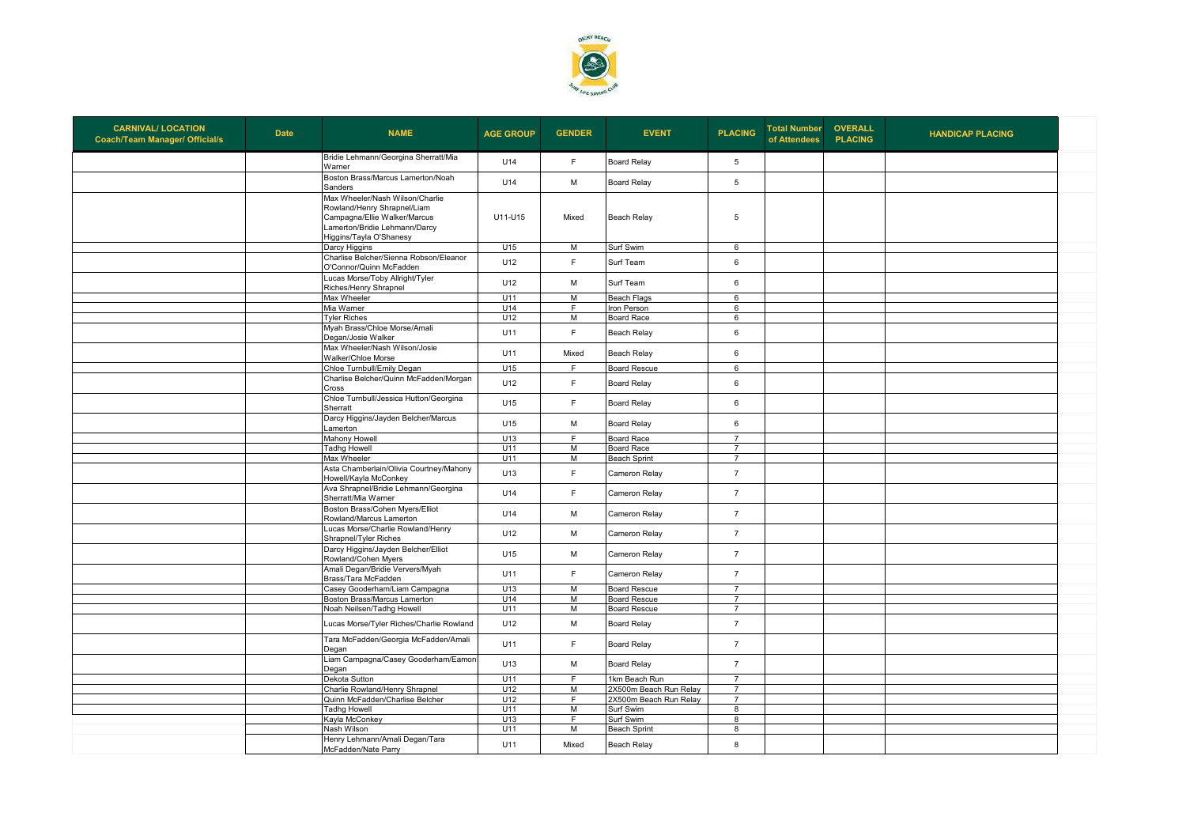

| <b>CARNIVAL/ LOCATION</b><br><b>Coach/Team Manager/ Official/s</b> | <b>Date</b> | <b>NAME</b>                                                                                                                                                | <b>AGE GROUP</b> | <b>GENDER</b>  | <b>EVENT</b>           | <b>PLACING</b>          | <b>Total Number</b><br>of Attendees | <b>OVERALL</b><br><b>PLACING</b> | <b>HANDICAP PLACING</b> |  |
|--------------------------------------------------------------------|-------------|------------------------------------------------------------------------------------------------------------------------------------------------------------|------------------|----------------|------------------------|-------------------------|-------------------------------------|----------------------------------|-------------------------|--|
|                                                                    |             | Bridie Lehmann/Georgina Sherratt/Mia<br>Warner                                                                                                             | U14              | F              | <b>Board Relay</b>     | 5                       |                                     |                                  |                         |  |
|                                                                    |             | Boston Brass/Marcus Lamerton/Noah<br>Sanders                                                                                                               | U14              | M              | <b>Board Relay</b>     | 5                       |                                     |                                  |                         |  |
|                                                                    |             | Max Wheeler/Nash Wilson/Charlie<br>Rowland/Henry Shrapnel/Liam<br>Campagna/Ellie Walker/Marcus<br>Lamerton/Bridie Lehmann/Darcy<br>liggins/Tayla O'Shanesy | U11-U15          | Mixed          | <b>Beach Relay</b>     | 5                       |                                     |                                  |                         |  |
|                                                                    |             | Darcy Higgins                                                                                                                                              | U15              | М              | Surf Swim              | 6                       |                                     |                                  |                         |  |
|                                                                    |             | Charlise Belcher/Sienna Robson/Eleanor<br>O'Connor/Quinn McFadden                                                                                          | U12              | F              | Surf Team              | 6                       |                                     |                                  |                         |  |
|                                                                    |             | Lucas Morse/Toby Allright/Tyler<br>Riches/Henry Shrapnel                                                                                                   | U12              | M              | Surf Team              | $\,6\,$                 |                                     |                                  |                         |  |
|                                                                    |             | Max Wheeler                                                                                                                                                | U11              | $\overline{M}$ | <b>Beach Flags</b>     | $6\phantom{a}$          |                                     |                                  |                         |  |
|                                                                    |             | Mia Warner                                                                                                                                                 | U14              | F              | Iron Person            | 6                       |                                     |                                  |                         |  |
|                                                                    |             | <b>Tyler Riches</b>                                                                                                                                        | U12              | M              | <b>Board Race</b>      | 6                       |                                     |                                  |                         |  |
|                                                                    |             | Myah Brass/Chloe Morse/Amali<br>Degan/Josie Walker                                                                                                         | U11              | F              | Beach Relay            | $6\phantom{a}$          |                                     |                                  |                         |  |
|                                                                    |             | Max Wheeler/Nash Wilson/Josie<br>Walker/Chloe Morse                                                                                                        | U11              | Mixed          | Beach Relay            | 6                       |                                     |                                  |                         |  |
|                                                                    |             | Chloe Turnbull/Emily Degan                                                                                                                                 | U15              | F              | <b>Board Rescue</b>    | 6                       |                                     |                                  |                         |  |
|                                                                    |             | Charlise Belcher/Quinn McFadden/Morgan<br>Cross                                                                                                            | U12              | F              | <b>Board Relay</b>     | 6                       |                                     |                                  |                         |  |
|                                                                    |             | Chloe Turnbull/Jessica Hutton/Georgina<br>Sherratt                                                                                                         | U15              | F              | <b>Board Relay</b>     | $6\phantom{a}$          |                                     |                                  |                         |  |
|                                                                    |             | Darcy Higgins/Jayden Belcher/Marcus<br>amerton                                                                                                             | U15              | M              | <b>Board Relay</b>     | 6                       |                                     |                                  |                         |  |
|                                                                    |             | Mahony Howell                                                                                                                                              | U13              | E              | <b>Board Race</b>      | $\overline{7}$          |                                     |                                  |                         |  |
|                                                                    |             | <b>Tadhg Howell</b>                                                                                                                                        | U11              | M              | <b>Board Race</b>      | $\overline{7}$          |                                     |                                  |                         |  |
|                                                                    |             | Max Wheeler                                                                                                                                                | U11              | M              | <b>Beach Sprint</b>    | $\overline{7}$          |                                     |                                  |                         |  |
|                                                                    |             | Asta Chamberlain/Olivia Courtney/Mahony<br>Howell/Kayla McConkey                                                                                           | U13              | F              | Cameron Relay          | $\overline{7}$          |                                     |                                  |                         |  |
|                                                                    |             | Ava Shrapnel/Bridie Lehmann/Georgina<br>Sherratt/Mia Warner                                                                                                | U14              | F              | Cameron Relay          | $\overline{7}$          |                                     |                                  |                         |  |
|                                                                    |             | Boston Brass/Cohen Myers/Elliot<br>Rowland/Marcus Lamerton                                                                                                 | U14              | M              | Cameron Relay          | $\overline{7}$          |                                     |                                  |                         |  |
|                                                                    |             | Lucas Morse/Charlie Rowland/Henry<br>Shrapnel/Tyler Riches                                                                                                 | U12              | M              | Cameron Relay          | $\overline{7}$          |                                     |                                  |                         |  |
|                                                                    |             | Darcy Higgins/Jayden Belcher/Elliot<br>Rowland/Cohen Myers                                                                                                 | U15              | M              | Cameron Relay          | $\overline{7}$          |                                     |                                  |                         |  |
|                                                                    |             | Amali Degan/Bridie Ververs/Myah<br>Brass/Tara McFadden                                                                                                     | U11              | F              | Cameron Relay          | $\overline{7}$          |                                     |                                  |                         |  |
|                                                                    |             | Casey Gooderham/Liam Campagna                                                                                                                              | U13              | M              | <b>Board Rescue</b>    | $\overline{7}$          |                                     |                                  |                         |  |
|                                                                    |             | Boston Brass/Marcus Lamerton                                                                                                                               | U14              | M              | <b>Board Rescue</b>    | $\overline{7}$          |                                     |                                  |                         |  |
|                                                                    |             | Noah Neilsen/Tadhg Howell                                                                                                                                  | U11              | M              | <b>Board Rescue</b>    | $\overline{7}$          |                                     |                                  |                         |  |
|                                                                    |             | Lucas Morse/Tyler Riches/Charlie Rowland                                                                                                                   | U12              | M              | <b>Board Relay</b>     | $\overline{7}$          |                                     |                                  |                         |  |
|                                                                    |             | Tara McFadden/Georgia McFadden/Amali<br>Degan                                                                                                              | U11              | $\mathsf F$    | <b>Board Relay</b>     | $\overline{7}$          |                                     |                                  |                         |  |
|                                                                    |             | Liam Campagna/Casey Gooderham/Eamon<br>Degan                                                                                                               | U13              | M              | <b>Board Relay</b>     | $\overline{7}$          |                                     |                                  |                         |  |
|                                                                    |             | Dekota Sutton                                                                                                                                              | U11              | $\overline{F}$ | 1km Beach Run          | $\overline{7}$          |                                     |                                  |                         |  |
|                                                                    |             | Charlie Rowland/Henry Shrapnel                                                                                                                             | U12              | М              | 2X500m Beach Run Relay | $\overline{7}$          |                                     |                                  |                         |  |
|                                                                    |             | Quinn McFadden/Charlise Belcher                                                                                                                            | U12              | F              | 2X500m Beach Run Relay | $\overline{7}$          |                                     |                                  |                         |  |
|                                                                    |             | <b>Tadhg Howell</b>                                                                                                                                        | U11              | M              | Surf Swim              | $\overline{\mathbf{8}}$ |                                     |                                  |                         |  |
|                                                                    |             | Kayla McConkey                                                                                                                                             | U13              | F              | Surf Swim              | 8                       |                                     |                                  |                         |  |
|                                                                    |             | Nash Wilson                                                                                                                                                | U11              | М              | <b>Beach Sprint</b>    | 8                       |                                     |                                  |                         |  |
|                                                                    |             | Henry Lehmann/Amali Degan/Tara<br>McFadden/Nate Parry                                                                                                      | U11              | Mixed          | <b>Beach Relay</b>     | 8                       |                                     |                                  |                         |  |
|                                                                    |             |                                                                                                                                                            |                  |                |                        |                         |                                     |                                  |                         |  |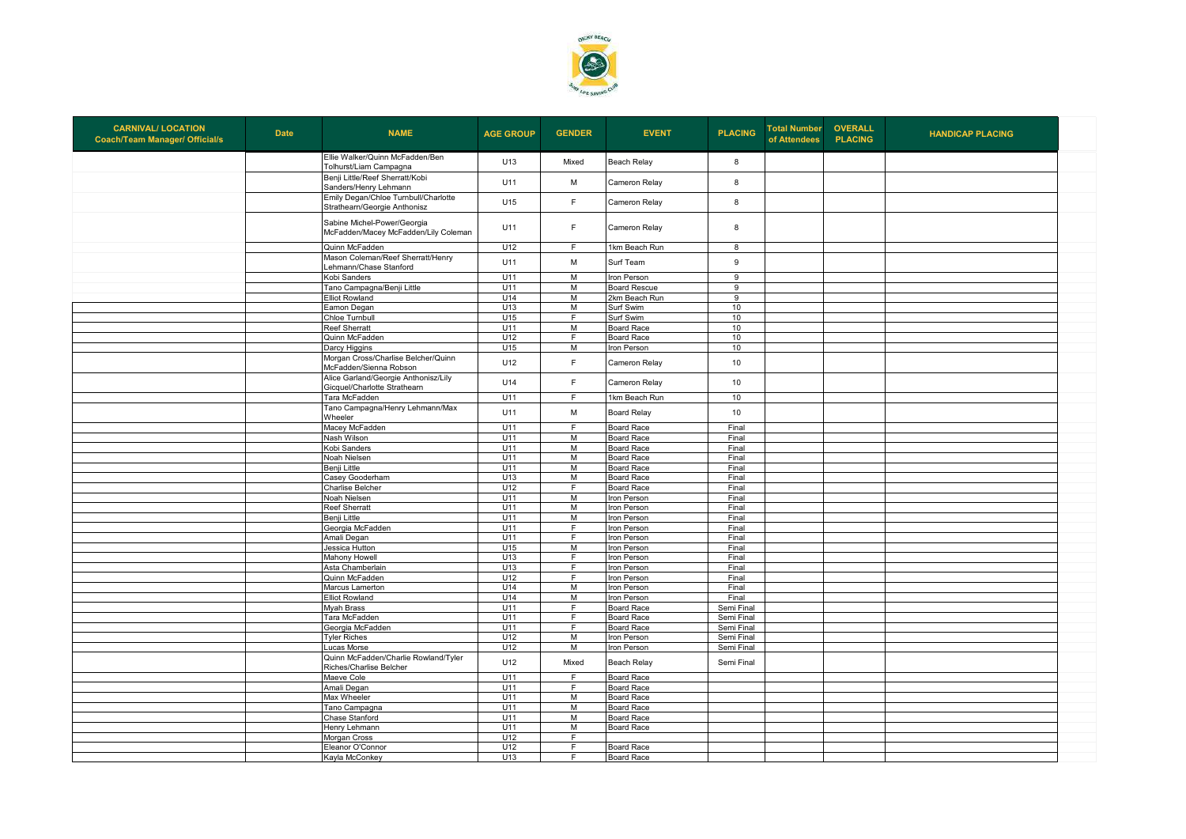

| <b>CARNIVAL/ LOCATION</b><br><b>Coach/Team Manager/ Official/s</b> | <b>Date</b> | <b>NAME</b>                                                          | <b>AGE GROUP</b> | <b>GENDER</b>       | <b>EVENT</b>                     | <b>PLACING</b>           | <b>Total Number</b><br>of Attendees | <b>OVERALL</b><br><b>PLACING</b> | <b>HANDICAP PLACING</b> |
|--------------------------------------------------------------------|-------------|----------------------------------------------------------------------|------------------|---------------------|----------------------------------|--------------------------|-------------------------------------|----------------------------------|-------------------------|
|                                                                    |             | Ellie Walker/Quinn McFadden/Ben<br>Tolhurst/Liam Campagna            | U13              | Mixed               | Beach Relay                      | 8                        |                                     |                                  |                         |
|                                                                    |             | Benji Little/Reef Sherratt/Kobi<br>Sanders/Henry Lehmann             | U11              | M                   | Cameron Relay                    | 8                        |                                     |                                  |                         |
|                                                                    |             | Emily Degan/Chloe Turnbull/Charlotte<br>Strathearn/Georgie Anthonisz | U15              | F                   | Cameron Relay                    | 8                        |                                     |                                  |                         |
|                                                                    |             | Sabine Michel-Power/Georgia<br>McFadden/Macey McFadden/Lily Coleman  | U11              | F                   | Cameron Relay                    | 8                        |                                     |                                  |                         |
|                                                                    |             | Quinn McFadden                                                       | U12              | F                   | 1km Beach Run                    | 8                        |                                     |                                  |                         |
|                                                                    |             | Mason Coleman/Reef Sherratt/Henry<br>Lehmann/Chase Stanford          | U11              | M                   | Surf Team                        | 9                        |                                     |                                  |                         |
|                                                                    |             | Kobi Sanders                                                         | U11              | M                   | Iron Person                      | $\overline{9}$           |                                     |                                  |                         |
|                                                                    |             | Tano Campagna/Benji Little                                           | U11              | M                   | <b>Board Rescue</b>              | 9                        |                                     |                                  |                         |
|                                                                    |             | <b>Elliot Rowland</b>                                                | U14              | M                   | 2km Beach Run                    | $\overline{9}$           |                                     |                                  |                         |
|                                                                    |             | Eamon Degan                                                          | U13              | M<br>$\overline{F}$ | Surf Swim                        | 10                       |                                     |                                  |                         |
|                                                                    |             | Chloe Turnbull                                                       | U15<br>U11       |                     | Surf Swim                        | 10                       |                                     |                                  |                         |
|                                                                    |             | <b>Reef Sherratt</b>                                                 | U12              | M                   | <b>Board Race</b>                | 10                       |                                     |                                  |                         |
|                                                                    |             | Quinn McFadden                                                       |                  | F<br>M              | Board Race                       | 10                       |                                     |                                  |                         |
|                                                                    |             | Darcy Higgins                                                        | U15              |                     | ron Person                       | 10                       |                                     |                                  |                         |
|                                                                    |             | Morgan Cross/Charlise Belcher/Quinn<br>McFadden/Sienna Robson        | U12              | F.                  | Cameron Relay                    | 10                       |                                     |                                  |                         |
|                                                                    |             | Alice Garland/Georgie Anthonisz/Lily<br>Gicquel/Charlotte Strathearn | U14              | F                   | Cameron Relay                    | 10                       |                                     |                                  |                         |
|                                                                    |             | Tara McFadden                                                        | U11              | F                   | 1km Beach Run                    | 10                       |                                     |                                  |                         |
|                                                                    |             | Tano Campagna/Henry Lehmann/Max<br>Wheeler                           | U11              | M                   | <b>Board Relay</b>               | 10                       |                                     |                                  |                         |
|                                                                    |             | Macey McFadden                                                       | U11              | F.                  | Board Race                       | Final                    |                                     |                                  |                         |
|                                                                    |             | Nash Wilson                                                          | U11              | M                   | Board Race                       | Final                    |                                     |                                  |                         |
|                                                                    |             | Kobi Sanders                                                         | U11              | M                   | <b>Board Race</b>                | Final                    |                                     |                                  |                         |
|                                                                    |             | Noah Nielsen                                                         | U11              | M                   | <b>Board Race</b>                | Final                    |                                     |                                  |                         |
|                                                                    |             | Benji Little                                                         | U11              | M                   | <b>Board Race</b>                | Final                    |                                     |                                  |                         |
|                                                                    |             | Casey Gooderham                                                      | U13              | M                   | <b>Board Race</b>                | Final                    |                                     |                                  |                         |
|                                                                    |             | Charlise Belcher                                                     | U12              | F                   | Board Race                       | Final                    |                                     |                                  |                         |
|                                                                    |             | Noah Nielsen                                                         | U11              | M                   | Iron Person                      | Final                    |                                     |                                  |                         |
|                                                                    |             | <b>Reef Sherratt</b>                                                 | U11              | M                   | ron Person                       | Final                    |                                     |                                  |                         |
|                                                                    |             | Benji Little                                                         | U11              | M                   | Iron Person                      | Final                    |                                     |                                  |                         |
|                                                                    |             | Georgia McFadden                                                     | U11              | F                   | Iron Person                      | Final                    |                                     |                                  |                         |
|                                                                    |             | Amali Degan                                                          | U11              | E                   | Iron Person                      | Final                    |                                     |                                  |                         |
|                                                                    |             | Jessica Hutton                                                       | U15              | M                   | Iron Person                      | Final                    |                                     |                                  |                         |
|                                                                    |             | Mahony Howell                                                        | U13              | F                   | Iron Person                      | Final                    |                                     |                                  |                         |
|                                                                    |             | Asta Chamberlain                                                     | U13              | F.<br>F             | Iron Person                      | Final                    |                                     |                                  |                         |
|                                                                    |             | Quinn McFadden                                                       | U12              |                     | ron Person                       | Final                    |                                     |                                  |                         |
|                                                                    |             | Marcus Lamerton                                                      | U14<br>U14       | M<br>M              | ron Person                       | Final<br>Final           |                                     |                                  |                         |
|                                                                    |             | <b>Elliot Rowland</b>                                                | U11              | F                   | Iron Person<br><b>Board Race</b> | Semi Final               |                                     |                                  |                         |
|                                                                    |             | <b>Myah Brass</b><br>Tara McFadden                                   | U11              | F                   |                                  |                          |                                     |                                  |                         |
|                                                                    |             |                                                                      |                  | F.                  | <b>Board Race</b>                | Semi Final               |                                     |                                  |                         |
|                                                                    |             | Georgia McFadden<br><b>Tyler Riches</b>                              | U11<br>U12       | M                   | <b>Board Race</b><br>ron Person  | Semi Final<br>Semi Final |                                     |                                  |                         |
|                                                                    |             | Lucas Morse                                                          | U12              | M                   | Iron Person                      | Semi Final               |                                     |                                  |                         |
|                                                                    |             | Quinn McFadden/Charlie Rowland/Tyler                                 |                  |                     |                                  |                          |                                     |                                  |                         |
|                                                                    |             | Riches/Charlise Belcher                                              | U12              | Mixed               | Beach Relay                      | Semi Final               |                                     |                                  |                         |
|                                                                    |             | Maeve Cole                                                           | U11              | F                   | <b>Board Race</b>                |                          |                                     |                                  |                         |
|                                                                    |             | Amali Degan                                                          | U11              | E                   | Board Race                       |                          |                                     |                                  |                         |
|                                                                    |             | Max Wheeler                                                          | U11              | $\overline{M}$      | Board Race                       |                          |                                     |                                  |                         |
|                                                                    |             | Tano Campagna                                                        | U11              | M                   | <b>Board Race</b>                |                          |                                     |                                  |                         |
|                                                                    |             | Chase Stanford                                                       | U11              | M                   | <b>Board Race</b>                |                          |                                     |                                  |                         |
|                                                                    |             | Henry Lehmann                                                        | U11              | M                   | Board Race                       |                          |                                     |                                  |                         |
|                                                                    |             | Morgan Cross                                                         | U12              | F                   |                                  |                          |                                     |                                  |                         |
|                                                                    |             | Eleanor O'Connor                                                     | U12              | F.                  | <b>Board Race</b>                |                          |                                     |                                  |                         |
|                                                                    |             | Kayla McConkey                                                       | U13              | F.                  | Board Race                       |                          |                                     |                                  |                         |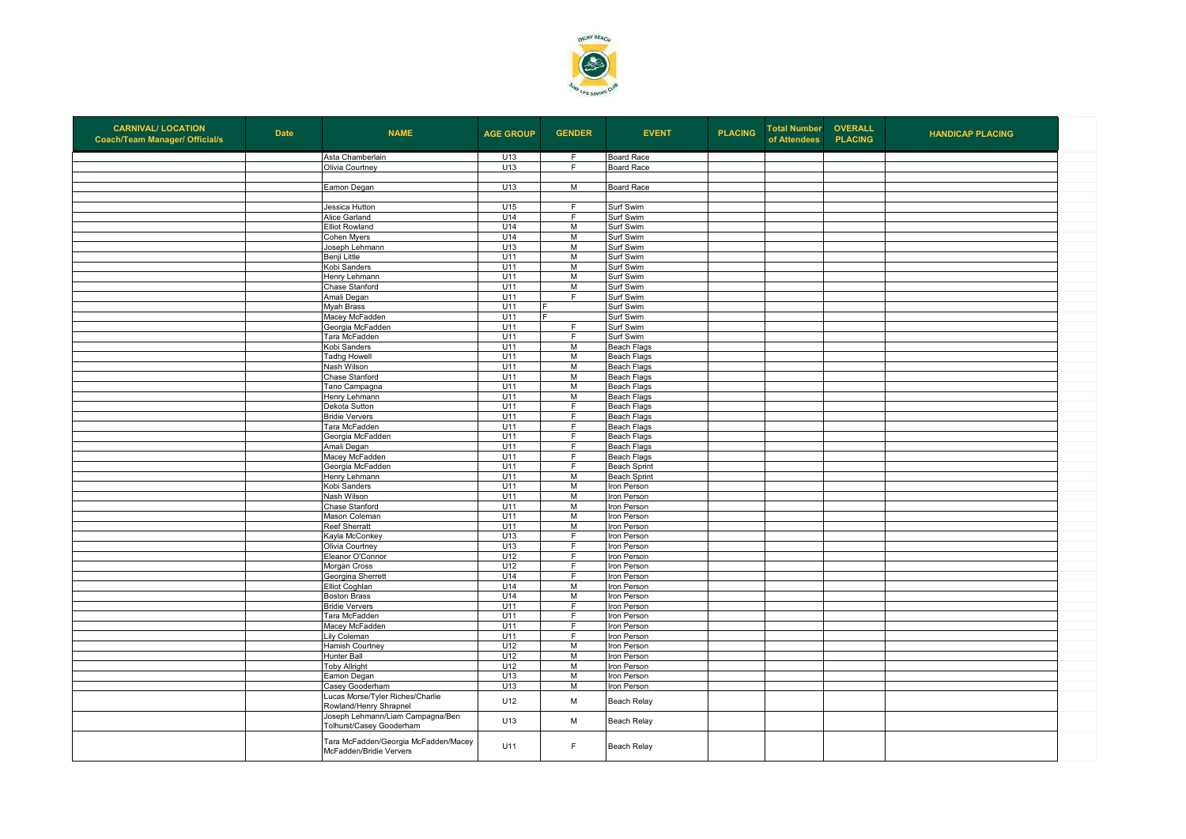

| <b>CARNIVAL/ LOCATION</b><br><b>Coach/Team Manager/ Official/s</b> | <b>Date</b> | <b>NAME</b>                                                     | <b>AGE GROUP</b> | <b>GENDER</b>  | <b>EVENT</b>                             | <b>PLACING</b> | <b>Total Number</b><br>of Attendees | <b>OVERALL</b><br><b>PLACING</b> | <b>HANDICAP PLACING</b> |
|--------------------------------------------------------------------|-------------|-----------------------------------------------------------------|------------------|----------------|------------------------------------------|----------------|-------------------------------------|----------------------------------|-------------------------|
|                                                                    |             | Asta Chamberlain                                                | U13              | F              | <b>Board Race</b>                        |                |                                     |                                  |                         |
|                                                                    |             | Olivia Courtney                                                 | U13              | F              | Board Race                               |                |                                     |                                  |                         |
|                                                                    |             |                                                                 |                  |                |                                          |                |                                     |                                  |                         |
|                                                                    |             | Eamon Degan                                                     | U13              | M              | Board Race                               |                |                                     |                                  |                         |
|                                                                    |             | Jessica Hutton                                                  | U15              | F              | Surf Swim                                |                |                                     |                                  |                         |
|                                                                    |             | Alice Garland                                                   | U14              | F              | Surf Swim                                |                |                                     |                                  |                         |
|                                                                    |             | <b>Elliot Rowland</b>                                           | U14              | $\overline{M}$ | Surf Swim                                |                |                                     |                                  |                         |
|                                                                    |             | Cohen Myers                                                     | U14              | M              | Surf Swim                                |                |                                     |                                  |                         |
|                                                                    |             | Joseph Lehmann                                                  | U13              | M              | Surf Swim                                |                |                                     |                                  |                         |
|                                                                    |             | Benji Little                                                    | U11              | M              | Surf Swim                                |                |                                     |                                  |                         |
|                                                                    |             | Kobi Sanders                                                    | U11              | M              | Surf Swim                                |                |                                     |                                  |                         |
|                                                                    |             | Henry Lehmann                                                   | U11              | M              | Surf Swim                                |                |                                     |                                  |                         |
|                                                                    |             | Chase Stanford                                                  | U11              | M              | Surf Swim                                |                |                                     |                                  |                         |
|                                                                    |             | Amali Degan                                                     | U11              | F              | Surf Swim                                |                |                                     |                                  |                         |
|                                                                    |             | <b>Myah Brass</b>                                               | U11              |                | Surf Swim                                |                |                                     |                                  |                         |
|                                                                    |             | Macey McFadden                                                  | U11              |                | Surf Swim                                |                |                                     |                                  |                         |
|                                                                    |             | Georgia McFadden                                                | U11<br>U11       | F<br>F         | Surf Swim                                |                |                                     |                                  |                         |
|                                                                    |             | Tara McFadden                                                   |                  |                | Surf Swim                                |                |                                     |                                  |                         |
|                                                                    |             | Kobi Sanders                                                    | U11<br>U11       | M<br>M         | <b>Beach Flags</b><br><b>Beach Flags</b> |                |                                     |                                  |                         |
|                                                                    |             | <b>Tadhg Howell</b><br>Nash Wilson                              | U11              | M              | <b>Beach Flags</b>                       |                |                                     |                                  |                         |
|                                                                    |             | Chase Stanford                                                  | U11              | M              | <b>Beach Flags</b>                       |                |                                     |                                  |                         |
|                                                                    |             | Tano Campagna                                                   | U11              | $\overline{M}$ | <b>Beach Flags</b>                       |                |                                     |                                  |                         |
|                                                                    |             | Henry Lehmann                                                   | U11              | M              | <b>Beach Flags</b>                       |                |                                     |                                  |                         |
|                                                                    |             | Dekota Sutton                                                   | U11              | F.             | <b>Beach Flags</b>                       |                |                                     |                                  |                         |
|                                                                    |             | <b>Bridie Ververs</b>                                           | U11              | $\overline{F}$ | <b>Beach Flags</b>                       |                |                                     |                                  |                         |
|                                                                    |             | Tara McFadden                                                   | U11              | F              | Beach Flags                              |                |                                     |                                  |                         |
|                                                                    |             | Georgia McFadden                                                | U11              | F              | <b>Beach Flags</b>                       |                |                                     |                                  |                         |
|                                                                    |             | Amali Degan                                                     | U11              | $\overline{F}$ | <b>Beach Flags</b>                       |                |                                     |                                  |                         |
|                                                                    |             | Macey McFadden                                                  | U11              | F              | Beach Flags                              |                |                                     |                                  |                         |
|                                                                    |             | Georgia McFadden                                                | U11              | F              | <b>Beach Sprint</b>                      |                |                                     |                                  |                         |
|                                                                    |             | Henry Lehmann                                                   | U11              | M              | <b>Beach Sprint</b>                      |                |                                     |                                  |                         |
|                                                                    |             | Kobi Sanders                                                    | U11              | M              | Iron Person                              |                |                                     |                                  |                         |
|                                                                    |             | Nash Wilson                                                     | U11              | M              | Iron Person                              |                |                                     |                                  |                         |
|                                                                    |             | Chase Stanford                                                  | U11              | M              | Iron Person                              |                |                                     |                                  |                         |
|                                                                    |             | Mason Coleman                                                   | U11              | M              | Iron Person                              |                |                                     |                                  |                         |
|                                                                    |             | <b>Reef Sherratt</b>                                            | U11              | M              | Iron Person                              |                |                                     |                                  |                         |
|                                                                    |             | Kayla McConkey                                                  | U13              | F.             | Iron Person                              |                |                                     |                                  |                         |
|                                                                    |             | Olivia Courtney                                                 | U13              | F<br>F         | Iron Person                              |                |                                     |                                  |                         |
|                                                                    |             | Eleanor O'Connor                                                | U12<br>U12       | F              | Iron Person                              |                |                                     |                                  |                         |
|                                                                    |             | Morgan Cross<br>Georgina Sherrett                               | U14              | $\overline{F}$ | Iron Person<br>Iron Person               |                |                                     |                                  |                         |
|                                                                    |             | Elliot Coghlan                                                  | U14              | M              | Iron Person                              |                |                                     |                                  |                         |
|                                                                    |             | <b>Boston Brass</b>                                             | U14              | $\overline{M}$ | Iron Person                              |                |                                     |                                  |                         |
|                                                                    |             | <b>Bridie Ververs</b>                                           | U11              | F              | Iron Person                              |                |                                     |                                  |                         |
|                                                                    |             | Tara McFadden                                                   | U11              | $\overline{F}$ | Iron Person                              |                |                                     |                                  |                         |
|                                                                    |             | Macey McFadden                                                  | U11              | $\overline{F}$ | Iron Person                              |                |                                     |                                  |                         |
|                                                                    |             | ily Coleman                                                     | U11              | F.             | Iron Person                              |                |                                     |                                  |                         |
|                                                                    |             | Hamish Courtney                                                 | U12              | $\overline{M}$ | Iron Person                              |                |                                     |                                  |                         |
|                                                                    |             | Hunter Ball                                                     | U12              | M              | Iron Person                              |                |                                     |                                  |                         |
|                                                                    |             | <b>Toby Allright</b>                                            | U12              | M              | Iron Person                              |                |                                     |                                  |                         |
|                                                                    |             | Eamon Degan                                                     | U13              | M              | Iron Person                              |                |                                     |                                  |                         |
|                                                                    |             | Casey Gooderham                                                 | U13              | M              | Iron Person                              |                |                                     |                                  |                         |
|                                                                    |             | Lucas Morse/Tyler Riches/Charlie<br>Rowland/Henry Shrapnel      | U12              | M              | Beach Relay                              |                |                                     |                                  |                         |
|                                                                    |             | Joseph Lehmann/Liam Campagna/Ben<br>Tolhurst/Casey Gooderham    | U13              | M              | Beach Relay                              |                |                                     |                                  |                         |
|                                                                    |             | Tara McFadden/Georgia McFadden/Macey<br>McFadden/Bridie Ververs | U11              | F              | <b>Beach Relay</b>                       |                |                                     |                                  |                         |